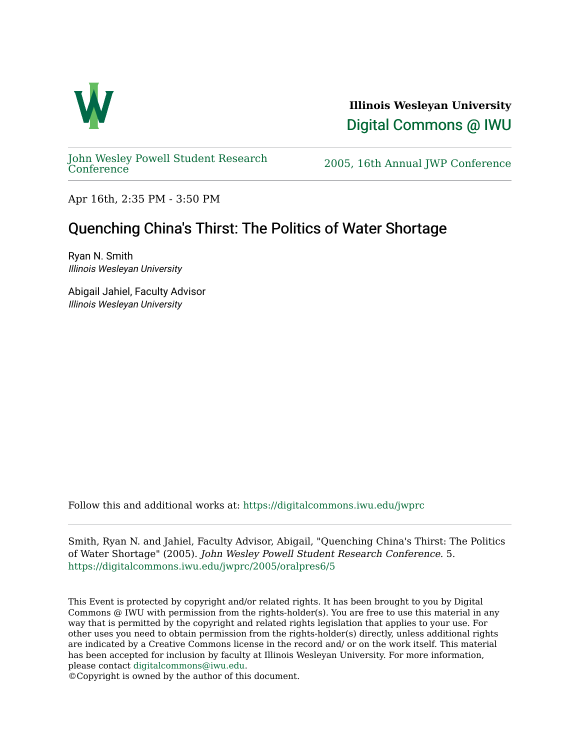

**Illinois Wesleyan University**  [Digital Commons @ IWU](https://digitalcommons.iwu.edu/) 

[John Wesley Powell Student Research](https://digitalcommons.iwu.edu/jwprc) 

2005, 16th Annual JWP [Conference](https://digitalcommons.iwu.edu/jwprc)

Apr 16th, 2:35 PM - 3:50 PM

## Quenching China's Thirst: The Politics of Water Shortage

Ryan N. Smith Illinois Wesleyan University

Abigail Jahiel, Faculty Advisor Illinois Wesleyan University

Follow this and additional works at: [https://digitalcommons.iwu.edu/jwprc](https://digitalcommons.iwu.edu/jwprc?utm_source=digitalcommons.iwu.edu%2Fjwprc%2F2005%2Foralpres6%2F5&utm_medium=PDF&utm_campaign=PDFCoverPages) 

Smith, Ryan N. and Jahiel, Faculty Advisor, Abigail, "Quenching China's Thirst: The Politics of Water Shortage" (2005). John Wesley Powell Student Research Conference. 5. [https://digitalcommons.iwu.edu/jwprc/2005/oralpres6/5](https://digitalcommons.iwu.edu/jwprc/2005/oralpres6/5?utm_source=digitalcommons.iwu.edu%2Fjwprc%2F2005%2Foralpres6%2F5&utm_medium=PDF&utm_campaign=PDFCoverPages)

This Event is protected by copyright and/or related rights. It has been brought to you by Digital Commons @ IWU with permission from the rights-holder(s). You are free to use this material in any way that is permitted by the copyright and related rights legislation that applies to your use. For other uses you need to obtain permission from the rights-holder(s) directly, unless additional rights are indicated by a Creative Commons license in the record and/ or on the work itself. This material has been accepted for inclusion by faculty at Illinois Wesleyan University. For more information, please contact [digitalcommons@iwu.edu.](mailto:digitalcommons@iwu.edu)

©Copyright is owned by the author of this document.